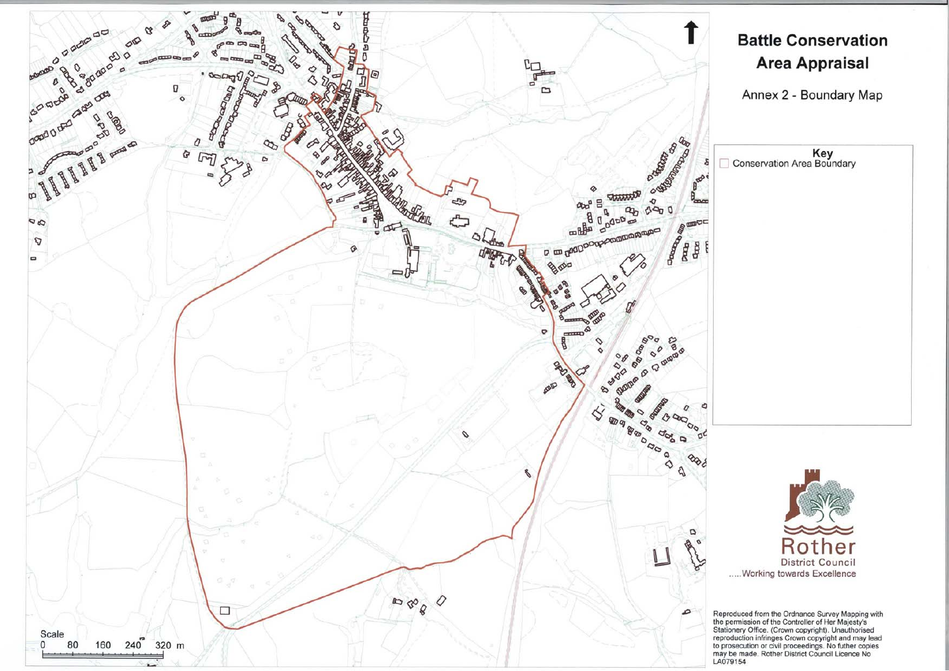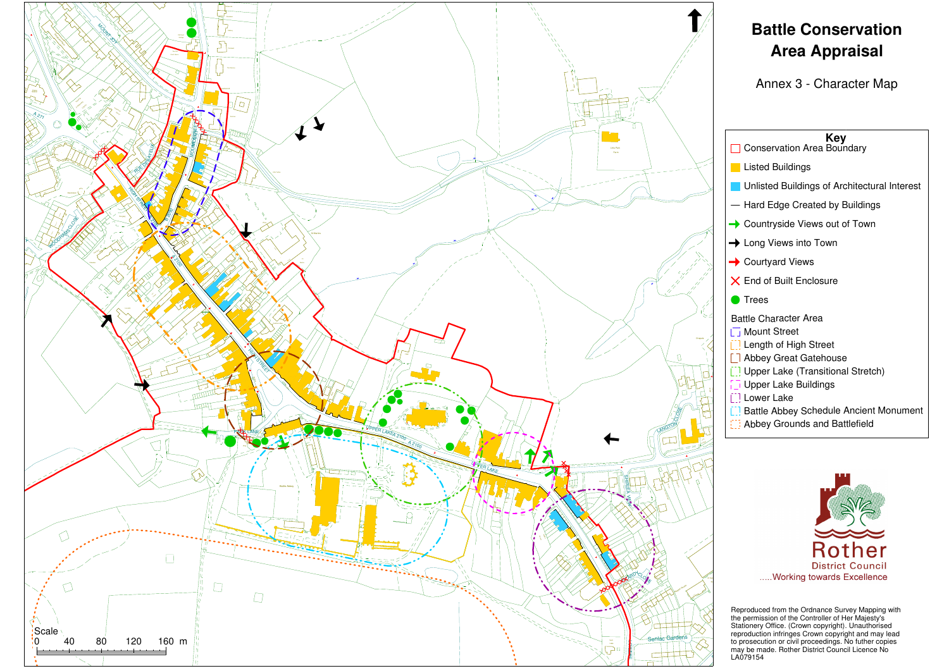

Statister<br>The providence<br>The LAOT Reproduced from the Ordnance Survey Mapping with the permission of the Controller of Her Majesty's Stationery Office. (Crown copyright). Unauthorised reproduction infringes Crown copyright and may lead to prosecution or civil proceedings. No futher copies may be made. Rother District Council Licence No LA079154

## **Battle Conservation Area Appraisal**

Annex 3 - Character Map



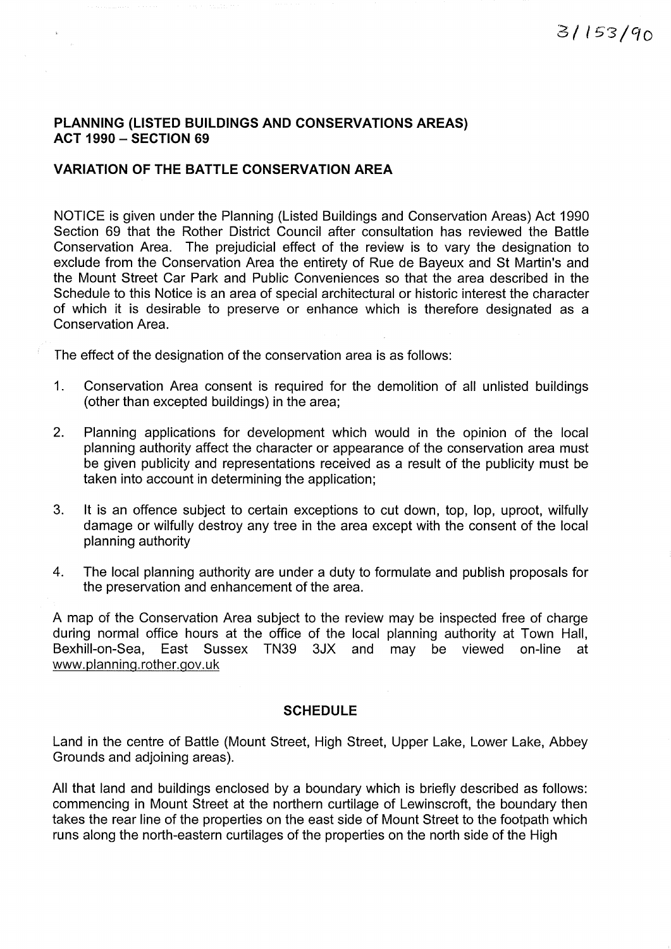## PLANNING (LISTED BUILDINGS AND CONSERVATIONS AREAS)  $ACT 1990 - SECTION 69$

## **VARIATION OF THE BATTLE CONSERVATION AREA**

NOTICE is given under the Planning (Listed Buildings and Conservation Areas) Act 1990 Section 69 that the Rother District Council after consultation has reviewed the Battle Conservation Area. The prejudicial effect of the review is to vary the designation to exclude from the Conservation Area the entirety of Rue de Bayeux and St Martin's and the Mount Street Car Park and Public Conveniences so that the area described in the Schedule to this Notice is an area of special architectural or historic interest the character of which it is desirable to preserve or enhance which is therefore designated as a Conservation Area.

The effect of the designation of the conservation area is as follows:

- $1<sub>1</sub>$ Conservation Area consent is required for the demolition of all unlisted buildings (other than excepted buildings) in the area:
- $2<sup>1</sup>$ Planning applications for development which would in the opinion of the local planning authority affect the character or appearance of the conservation area must be given publicity and representations received as a result of the publicity must be taken into account in determining the application;
- $3.$ It is an offence subject to certain exceptions to cut down, top, lop, uproot, wilfully damage or wilfully destroy any tree in the area except with the consent of the local planning authority
- $4.$ The local planning authority are under a duty to formulate and publish proposals for the preservation and enhancement of the area.

A map of the Conservation Area subject to the review may be inspected free of charge during normal office hours at the office of the local planning authority at Town Hall, Bexhill-on-Sea. East Sussex TN39 3JX and may be viewed on-line at www.planning.rother.gov.uk

## **SCHEDULE**

Land in the centre of Battle (Mount Street, High Street, Upper Lake, Lower Lake, Abbey Grounds and adjoining areas).

All that land and buildings enclosed by a boundary which is briefly described as follows: commencing in Mount Street at the northern curtilage of Lewinscroft, the boundary then takes the rear line of the properties on the east side of Mount Street to the footpath which runs along the north-eastern curtilages of the properties on the north side of the High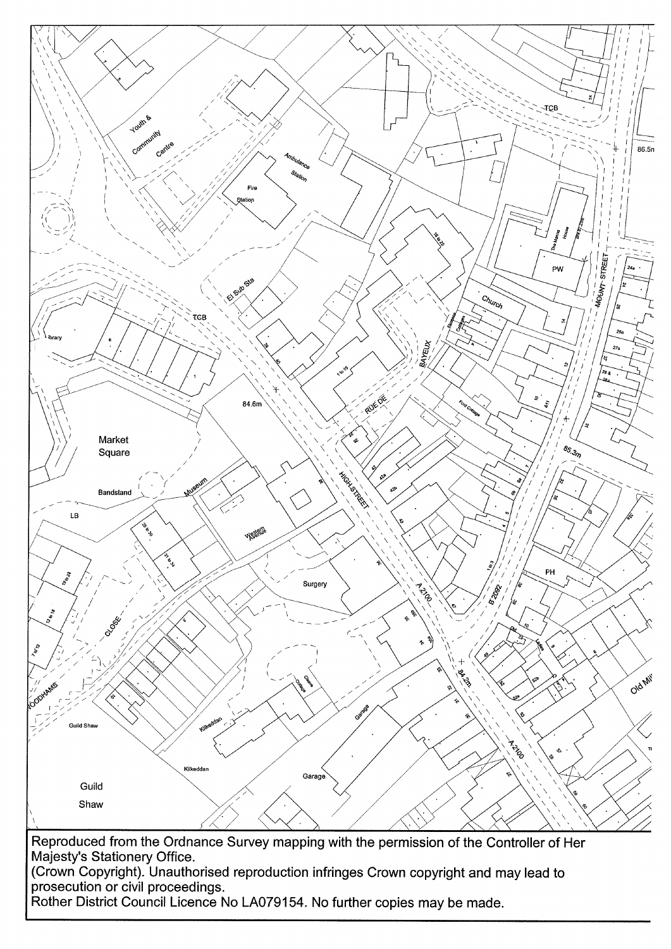

Rother District Council Licence No LA079154. No further copies may be made.